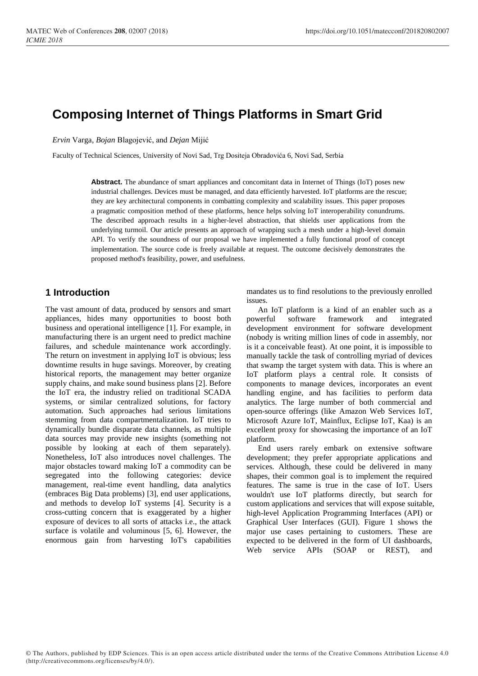# **Composing Internet of Things Platforms in Smart Grid**

*Ervin* Varga, *Bojan* Blagojević, and *Dejan* Mijić

Faculty of Technical Sciences, University of Novi Sad, Trg Dositeja Obradovića 6, Novi Sad, Serbia

**Abstract.** The abundance of smart appliances and concomitant data in Internet of Things (IoT) poses new industrial challenges. Devices must be managed, and data efficiently harvested. IoT platforms are the rescue; they are key architectural components in combatting complexity and scalability issues. This paper proposes a pragmatic composition method of these platforms, hence helps solving IoT interoperability conundrums. The described approach results in a higher-level abstraction, that shields user applications from the underlying turmoil. Our article presents an approach of wrapping such a mesh under a high-level domain API. To verify the soundness of our proposal we have implemented a fully functional proof of concept implementation. The source code is freely available at request. The outcome decisively demonstrates the proposed method's feasibility, power, and usefulness.

# **1 Introduction**

The vast amount of data, produced by sensors and smart appliances, hides many opportunities to boost both business and operational intelligence [1]. For example, in manufacturing there is an urgent need to predict machine failures, and schedule maintenance work accordingly. The return on investment in applying IoT is obvious; less downtime results in huge savings. Moreover, by creating historical reports, the management may better organize supply chains, and make sound business plans [2]. Before the IoT era, the industry relied on traditional SCADA systems, or similar centralized solutions, for factory automation. Such approaches had serious limitations stemming from data compartmentalization. IoT tries to dynamically bundle disparate data channels, as multiple data sources may provide new insights (something not possible by looking at each of them separately). Nonetheless, IoT also introduces novel challenges. The major obstacles toward making IoT a commodity can be segregated into the following categories: device management, real-time event handling, data analytics (embraces Big Data problems) [3], end user applications, and methods to develop IoT systems [4]. Security is a cross-cutting concern that is exaggerated by a higher exposure of devices to all sorts of attacks i.e., the attack surface is volatile and voluminous [5, 6]. However, the enormous gain from harvesting IoT's capabilities

mandates us to find resolutions to the previously enrolled issues.

An IoT platform is a kind of an enabler such as a powerful software framework and integrated development environment for software development (nobody is writing million lines of code in assembly, nor is it a conceivable feast). At one point, it is impossible to manually tackle the task of controlling myriad of devices that swamp the target system with data. This is where an IoT platform plays a central role. It consists of components to manage devices, incorporates an event handling engine, and has facilities to perform data analytics. The large number of both commercial and open-source offerings (like Amazon Web Services IoT, Microsoft Azure IoT, Mainflux, Eclipse IoT, Kaa) is an excellent proxy for showcasing the importance of an IoT platform.

End users rarely embark on extensive software development; they prefer appropriate applications and services. Although, these could be delivered in many shapes, their common goal is to implement the required features. The same is true in the case of IoT. Users wouldn't use IoT platforms directly, but search for custom applications and services that will expose suitable, high-level Application Programming Interfaces (API) or Graphical User Interfaces (GUI). Figure 1 shows the major use cases pertaining to customers. These are expected to be delivered in the form of UI dashboards, Web service APIs (SOAP or REST), and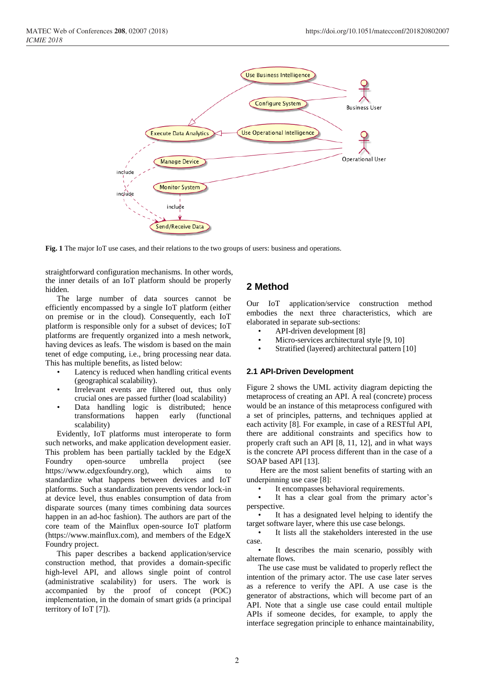

**Fig. 1** The major IoT use cases, and their relations to the two groups of users: business and operations.

straightforward configuration mechanisms. In other words, the inner details of an IoT platform should be properly hidden.

The large number of data sources cannot be efficiently encompassed by a single IoT platform (either on premise or in the cloud). Consequently, each IoT platform is responsible only for a subset of devices; IoT platforms are frequently organized into a mesh network, having devices as leafs. The wisdom is based on the main tenet of edge computing, i.e., bring processing near data. This has multiple benefits, as listed below:

- Latency is reduced when handling critical events (geographical scalability).
- Irrelevant events are filtered out, thus only crucial ones are passed further (load scalability)
- Data handling logic is distributed; hence transformations happen early (functional scalability)

Evidently, IoT platforms must interoperate to form such networks, and make application development easier. This problem has been partially tackled by the EdgeX Foundry open-source umbrella project (see https://www.edgexfoundry.org), which aims to standardize what happens between devices and IoT platforms. Such a standardization prevents vendor lock-in at device level, thus enables consumption of data from disparate sources (many times combining data sources happen in an ad-hoc fashion). The authors are part of the core team of the Mainflux open-source IoT platform (https://www.mainflux.com), and members of the EdgeX Foundry project.

This paper describes a backend application/service construction method, that provides a domain-specific high-level API, and allows single point of control (administrative scalability) for users. The work is accompanied by the proof of concept (POC) implementation, in the domain of smart grids (a principal territory of IoT [7]).

# **2 Method**

Our IoT application/service construction method embodies the next three characteristics, which are elaborated in separate sub-sections:

- API-driven development [8]
- Micro-services architectural style [9, 10]
- Stratified (layered) architectural pattern [10]

#### **2.1 API-Driven Development**

Figure 2 shows the UML activity diagram depicting the metaprocess of creating an API. A real (concrete) process would be an instance of this metaprocess configured with a set of principles, patterns, and techniques applied at each activity [8]. For example, in case of a RESTful API, there are additional constraints and specifics how to properly craft such an API [8, 11, 12], and in what ways is the concrete API process different than in the case of a SOAP based API [13].

Here are the most salient benefits of starting with an underpinning use case [8]:

It encompasses behavioral requirements.

• It has a clear goal from the primary actor's perspective.

It has a designated level helping to identify the target software layer, where this use case belongs.

It lists all the stakeholders interested in the use case.

It describes the main scenario, possibly with alternate flows.

The use case must be validated to properly reflect the intention of the primary actor. The use case later serves as a reference to verify the API. A use case is the generator of abstractions, which will become part of an API. Note that a single use case could entail multiple APIs if someone decides, for example, to apply the interface segregation principle to enhance maintainability,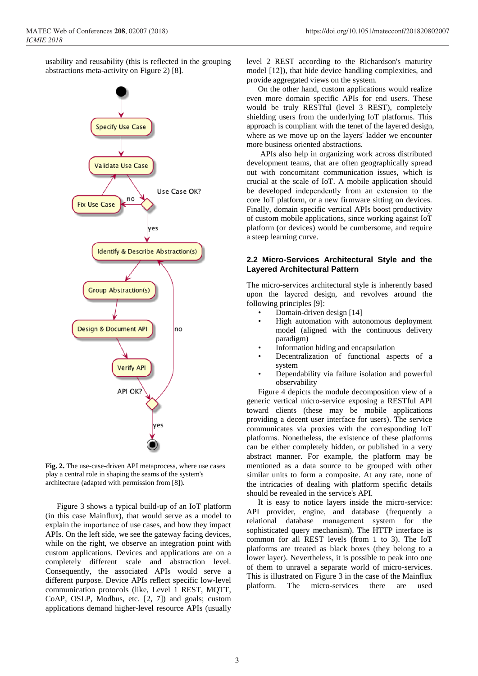usability and reusability (this is reflected in the grouping abstractions meta-activity on Figure 2) [8].



**Fig. 2.** The use-case-driven API metaprocess, where use cases play a central role in shaping the seams of the system's architecture (adapted with permission from [8]).

Figure 3 shows a typical build-up of an IoT platform (in this case Mainflux), that would serve as a model to explain the importance of use cases, and how they impact APIs. On the left side, we see the gateway facing devices, while on the right, we observe an integration point with custom applications. Devices and applications are on a completely different scale and abstraction level. Consequently, the associated APIs would serve a different purpose. Device APIs reflect specific low-level communication protocols (like, Level 1 REST, MQTT, CoAP, OSLP, Modbus, etc. [2, 7]) and goals; custom applications demand higher-level resource APIs (usually

level 2 REST according to the Richardson's maturity model [12]), that hide device handling complexities, and provide aggregated views on the system.

On the other hand, custom applications would realize even more domain specific APIs for end users. These would be truly RESTful (level 3 REST), completely shielding users from the underlying IoT platforms. This approach is compliant with the tenet of the layered design, where as we move up on the layers' ladder we encounter more business oriented abstractions.

APIs also help in organizing work across distributed development teams, that are often geographically spread out with concomitant communication issues, which is crucial at the scale of IoT. A mobile application should be developed independently from an extension to the core IoT platform, or a new firmware sitting on devices. Finally, domain specific vertical APIs boost productivity of custom mobile applications, since working against IoT platform (or devices) would be cumbersome, and require a steep learning curve.

#### **2.2 Micro-Services Architectural Style and the Layered Architectural Pattern**

The micro-services architectural style is inherently based upon the layered design, and revolves around the following principles [9]:

- Domain-driven design [14]
- High automation with autonomous deployment model (aligned with the continuous delivery paradigm)
- Information hiding and encapsulation
- Decentralization of functional aspects of a system
- Dependability via failure isolation and powerful observability

Figure 4 depicts the module decomposition view of a generic vertical micro-service exposing a RESTful API toward clients (these may be mobile applications providing a decent user interface for users). The service communicates via proxies with the corresponding IoT platforms. Nonetheless, the existence of these platforms can be either completely hidden, or published in a very abstract manner. For example, the platform may be mentioned as a data source to be grouped with other similar units to form a composite. At any rate, none of the intricacies of dealing with platform specific details should be revealed in the service's API.

It is easy to notice layers inside the micro-service: API provider, engine, and database (frequently a relational database management system for the sophisticated query mechanism). The HTTP interface is common for all REST levels (from 1 to 3). The IoT platforms are treated as black boxes (they belong to a lower layer). Nevertheless, it is possible to peak into one of them to unravel a separate world of micro-services. This is illustrated on Figure 3 in the case of the Mainflux platform. The micro-services there are used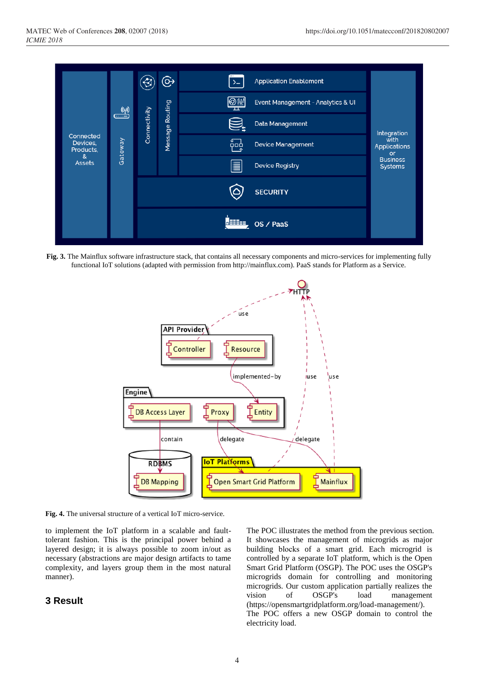

**Fig. 3.** The Mainflux software infrastructure stack, that contains all necessary components and micro-services for implementing fully functional IoT solutions (adapted with permission from http://mainflux.com). PaaS stands for Platform as a Service.



**Fig. 4.** The universal structure of a vertical IoT micro-service.

to implement the IoT platform in a scalable and faulttolerant fashion. This is the principal power behind a layered design; it is always possible to zoom in/out as necessary (abstractions are major design artifacts to tame complexity, and layers group them in the most natural manner).

### **3 Result**

The POC illustrates the method from the previous section. It showcases the management of microgrids as major building blocks of a smart grid. Each microgrid is controlled by a separate IoT platform, which is the Open Smart Grid Platform (OSGP). The POC uses the OSGP's microgrids domain for controlling and monitoring microgrids. Our custom application partially realizes the vision of OSGP's load management (https://opensmartgridplatform.org/load-management/). The POC offers a new OSGP domain to control the electricity load.